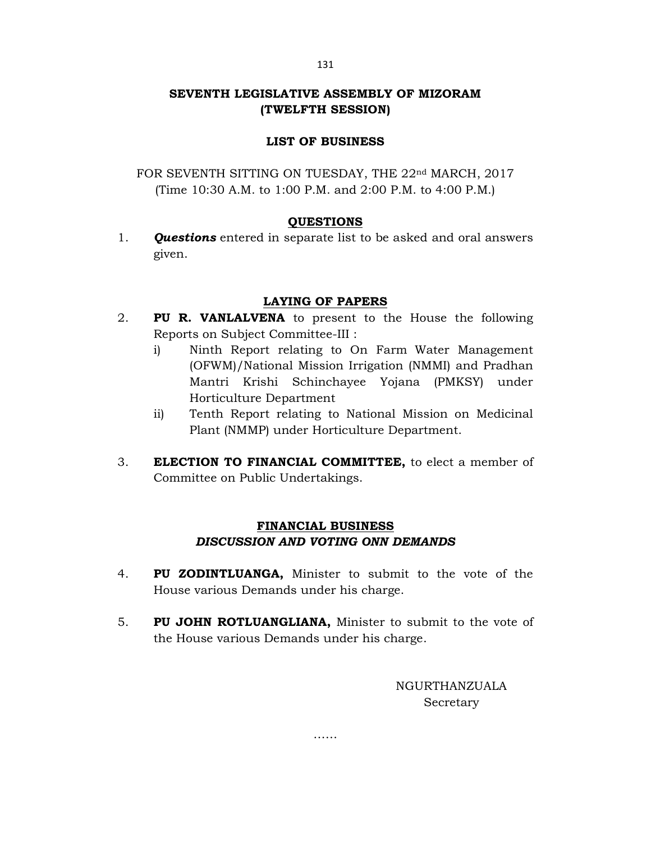# SEVENTH LEGISLATIVE ASSEMBLY OF MIZORAM (TWELFTH SESSION)

# LIST OF BUSINESS

FOR SEVENTH SITTING ON TUESDAY, THE 22<sup>nd</sup> MARCH, 2017 (Time 10:30 A.M. to 1:00 P.M. and 2:00 P.M. to 4:00 P.M.)

## QUESTIONS

1. **Questions** entered in separate list to be asked and oral answers given.

## LAYING OF PAPERS

- 2. PU R. VANLALVENA to present to the House the following Reports on Subject Committee-III :
	- i) Ninth Report relating to On Farm Water Management (OFWM)/National Mission Irrigation (NMMI) and Pradhan Mantri Krishi Schinchayee Yojana (PMKSY) under Horticulture Department
	- ii) Tenth Report relating to National Mission on Medicinal Plant (NMMP) under Horticulture Department.
- 3. **ELECTION TO FINANCIAL COMMITTEE**, to elect a member of Committee on Public Undertakings.

# FINANCIAL BUSINESS DISCUSSION AND VOTING ONN DEMANDS

- 4. PU ZODINTLUANGA, Minister to submit to the vote of the House various Demands under his charge.
- 5. PU JOHN ROTLUANGLIANA, Minister to submit to the vote of the House various Demands under his charge.

……

NGURTHANZUALA Secretary

131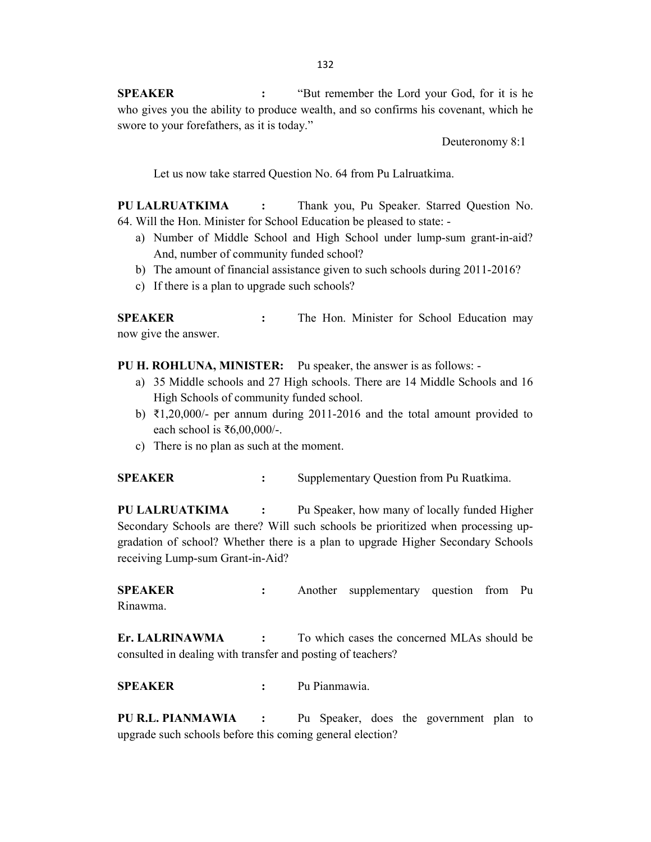SPEAKER : "But remember the Lord your God, for it is he who gives you the ability to produce wealth, and so confirms his covenant, which he swore to your forefathers, as it is today."

Deuteronomy 8:1

Let us now take starred Question No. 64 from Pu Lalruatkima.

PU LALRUATKIMA : Thank you, Pu Speaker. Starred Question No. 64. Will the Hon. Minister for School Education be pleased to state: -

- a) Number of Middle School and High School under lump-sum grant-in-aid? And, number of community funded school?
- b) The amount of financial assistance given to such schools during 2011-2016?
- c) If there is a plan to upgrade such schools?

SPEAKER : The Hon. Minister for School Education may now give the answer.

PU H. ROHLUNA, MINISTER: Pu speaker, the answer is as follows: -

- a) 35 Middle schools and 27 High schools. There are 14 Middle Schools and 16 High Schools of community funded school.
- b) ₹1,20,000/- per annum during 2011-2016 and the total amount provided to each school is  $\text{\textless}6,00,000/$ -.
- c) There is no plan as such at the moment.

SPEAKER : Supplementary Question from Pu Ruatkima.

PU LALRUATKIMA : Pu Speaker, how many of locally funded Higher Secondary Schools are there? Will such schools be prioritized when processing upgradation of school? Whether there is a plan to upgrade Higher Secondary Schools receiving Lump-sum Grant-in-Aid?

SPEAKER : Another supplementary question from Pu Rinawma.

Er. LALRINAWMA : To which cases the concerned MLAs should be consulted in dealing with transfer and posting of teachers?

SPEAKER : Pu Pianmawia.

PU R.L. PIANMAWIA : Pu Speaker, does the government plan to upgrade such schools before this coming general election?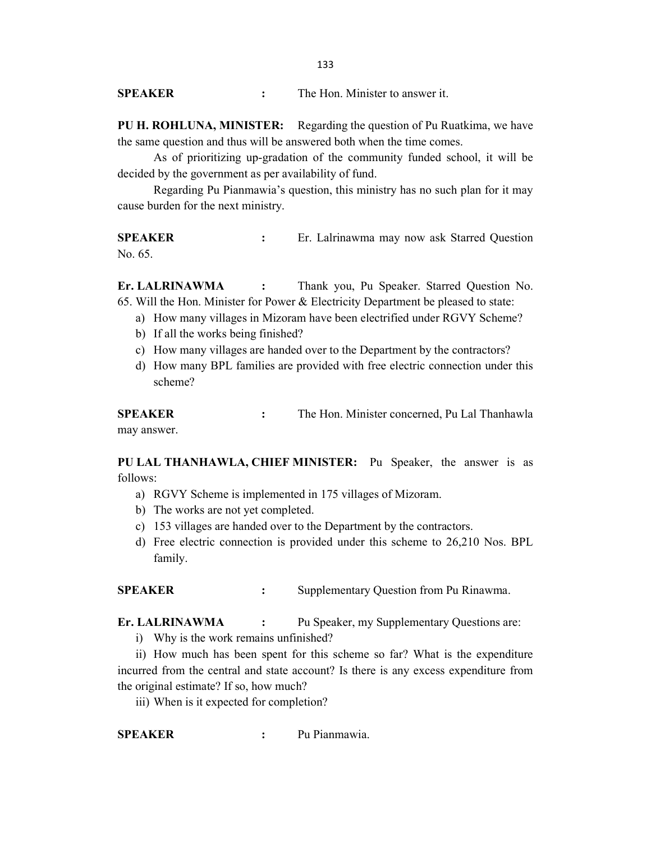PU H. ROHLUNA, MINISTER: Regarding the question of Pu Ruatkima, we have the same question and thus will be answered both when the time comes.

 As of prioritizing up-gradation of the community funded school, it will be decided by the government as per availability of fund.

 Regarding Pu Pianmawia's question, this ministry has no such plan for it may cause burden for the next ministry.

SPEAKER : Er. Lalrinawma may now ask Starred Question No. 65.

Er. LALRINAWMA : Thank you, Pu Speaker. Starred Question No. 65. Will the Hon. Minister for Power & Electricity Department be pleased to state:

- a) How many villages in Mizoram have been electrified under RGVY Scheme?
- b) If all the works being finished?
- c) How many villages are handed over to the Department by the contractors?
- d) How many BPL families are provided with free electric connection under this scheme?

SPEAKER : The Hon. Minister concerned, Pu Lal Thanhawla may answer.

PU LAL THANHAWLA, CHIEF MINISTER: Pu Speaker, the answer is as follows:

- a) RGVY Scheme is implemented in 175 villages of Mizoram.
- b) The works are not yet completed.
- c) 153 villages are handed over to the Department by the contractors.
- d) Free electric connection is provided under this scheme to 26,210 Nos. BPL family.

SPEAKER : Supplementary Question from Pu Rinawma.

Er. LALRINAWMA : Pu Speaker, my Supplementary Questions are:

i) Why is the work remains unfinished?

ii) How much has been spent for this scheme so far? What is the expenditure incurred from the central and state account? Is there is any excess expenditure from the original estimate? If so, how much?

iii) When is it expected for completion?

SPEAKER : Pu Pianmawia.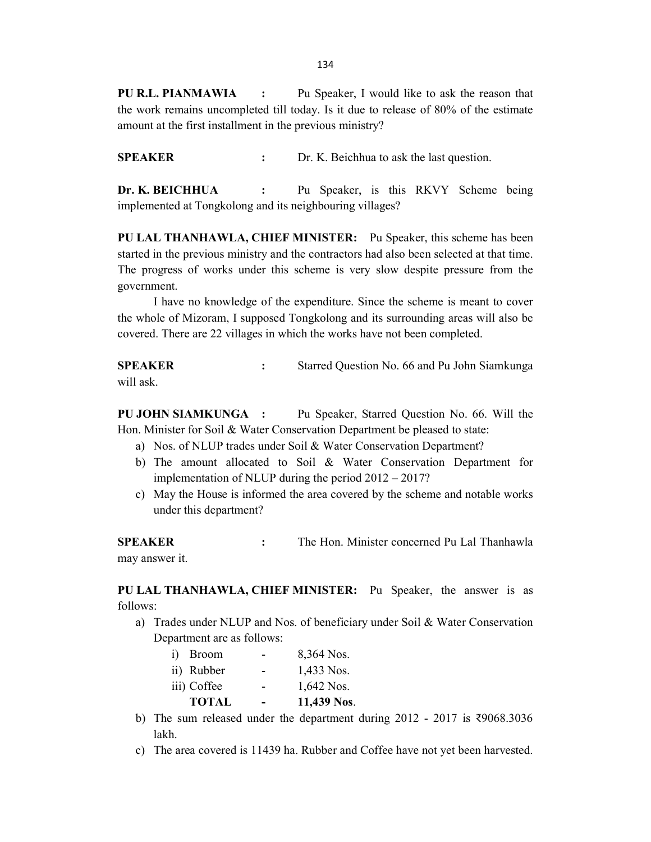134

PU R.L. PIANMAWIA : Pu Speaker, I would like to ask the reason that the work remains uncompleted till today. Is it due to release of 80% of the estimate amount at the first installment in the previous ministry?

SPEAKER : Dr. K. Beichhua to ask the last question.

Dr. K. BEICHHUA : Pu Speaker, is this RKVY Scheme being implemented at Tongkolong and its neighbouring villages?

PU LAL THANHAWLA, CHIEF MINISTER: Pu Speaker, this scheme has been started in the previous ministry and the contractors had also been selected at that time. The progress of works under this scheme is very slow despite pressure from the government.

 I have no knowledge of the expenditure. Since the scheme is meant to cover the whole of Mizoram, I supposed Tongkolong and its surrounding areas will also be covered. There are 22 villages in which the works have not been completed.

SPEAKER : Starred Question No. 66 and Pu John Siamkunga will ask.

PU JOHN SIAMKUNGA : Pu Speaker, Starred Question No. 66. Will the Hon. Minister for Soil & Water Conservation Department be pleased to state:

- a) Nos. of NLUP trades under Soil & Water Conservation Department?
- b) The amount allocated to Soil & Water Conservation Department for implementation of NLUP during the period 2012 – 2017?
- c) May the House is informed the area covered by the scheme and notable works under this department?

SPEAKER : The Hon. Minister concerned Pu Lal Thanhawla may answer it.

PU LAL THANHAWLA, CHIEF MINISTER: Pu Speaker, the answer is as follows:

- a) Trades under NLUP and Nos. of beneficiary under Soil & Water Conservation Department are as follows:
	- i) Broom 8,364 Nos. ii) Rubber - 1,433 Nos. iii) Coffee  $1,642$  Nos. TOTAL - 11,439 Nos.
- b) The sum released under the department during 2012 2017 is ₹9068.3036 lakh.
- c) The area covered is 11439 ha. Rubber and Coffee have not yet been harvested.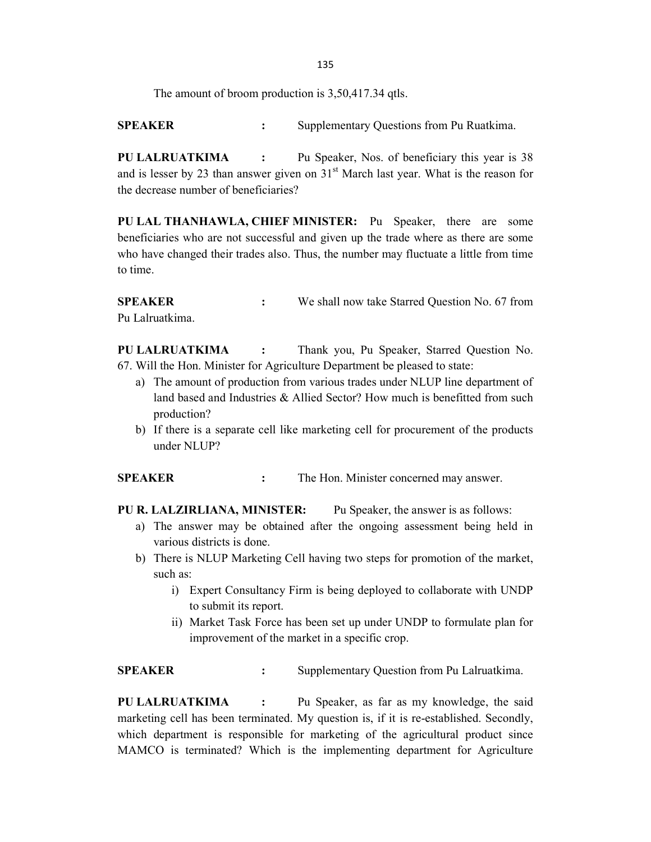135

The amount of broom production is 3,50,417.34 qtls.

SPEAKER : Supplementary Ouestions from Pu Ruatkima.

PU LALRUATKIMA : Pu Speaker, Nos. of beneficiary this year is 38 and is lesser by 23 than answer given on  $31<sup>st</sup>$  March last year. What is the reason for the decrease number of beneficiaries?

PU LAL THANHAWLA, CHIEF MINISTER: Pu Speaker, there are some beneficiaries who are not successful and given up the trade where as there are some who have changed their trades also. Thus, the number may fluctuate a little from time to time.

**SPEAKER** : We shall now take Starred Question No. 67 from Pu Lalruatkima.

PU LALRUATKIMA : Thank you, Pu Speaker, Starred Question No. 67. Will the Hon. Minister for Agriculture Department be pleased to state:

- a) The amount of production from various trades under NLUP line department of land based and Industries & Allied Sector? How much is benefitted from such production?
- b) If there is a separate cell like marketing cell for procurement of the products under NLUP?

SPEAKER : The Hon. Minister concerned may answer.

PU R. LALZIRLIANA, MINISTER: Pu Speaker, the answer is as follows:

- a) The answer may be obtained after the ongoing assessment being held in various districts is done.
- b) There is NLUP Marketing Cell having two steps for promotion of the market, such as:
	- i) Expert Consultancy Firm is being deployed to collaborate with UNDP to submit its report.
	- ii) Market Task Force has been set up under UNDP to formulate plan for improvement of the market in a specific crop.

**SPEAKER** : Supplementary Question from Pu Lalruatkima.

PU LALRUATKIMA : Pu Speaker, as far as my knowledge, the said marketing cell has been terminated. My question is, if it is re-established. Secondly, which department is responsible for marketing of the agricultural product since MAMCO is terminated? Which is the implementing department for Agriculture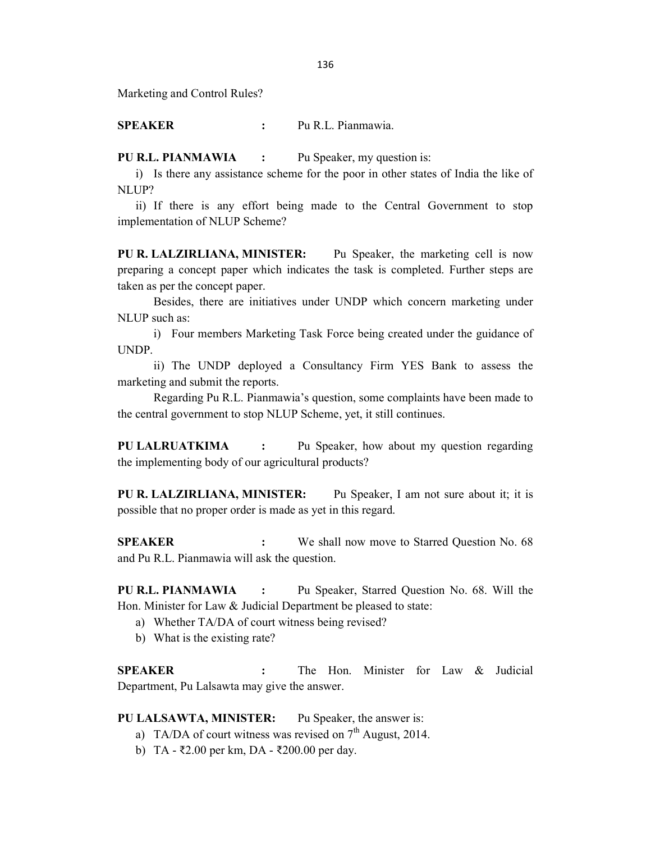Marketing and Control Rules?

SPEAKER : Pu R.L. Pianmawia.

PU R.L. PIANMAWIA : Pu Speaker, my question is:

i) Is there any assistance scheme for the poor in other states of India the like of NLUP?

ii) If there is any effort being made to the Central Government to stop implementation of NLUP Scheme?

PU R. LALZIRLIANA, MINISTER: Pu Speaker, the marketing cell is now preparing a concept paper which indicates the task is completed. Further steps are taken as per the concept paper.

 Besides, there are initiatives under UNDP which concern marketing under NLUP such as:

i) Four members Marketing Task Force being created under the guidance of UNDP.

ii) The UNDP deployed a Consultancy Firm YES Bank to assess the marketing and submit the reports.

 Regarding Pu R.L. Pianmawia's question, some complaints have been made to the central government to stop NLUP Scheme, yet, it still continues.

PU LALRUATKIMA : Pu Speaker, how about my question regarding the implementing body of our agricultural products?

PU R. LALZIRLIANA, MINISTER: Pu Speaker, I am not sure about it; it is possible that no proper order is made as yet in this regard.

SPEAKER : We shall now move to Starred Question No. 68 and Pu R.L. Pianmawia will ask the question.

PU R.L. PIANMAWIA : Pu Speaker, Starred Question No. 68. Will the Hon. Minister for Law & Judicial Department be pleased to state:

- a) Whether TA/DA of court witness being revised?
- b) What is the existing rate?

SPEAKER : The Hon. Minister for Law & Judicial Department, Pu Lalsawta may give the answer.

## PU LALSAWTA, MINISTER: Pu Speaker, the answer is:

- a) TA/DA of court witness was revised on  $7<sup>th</sup>$  August, 2014.
- b) TA ₹2.00 per km, DA ₹200.00 per day.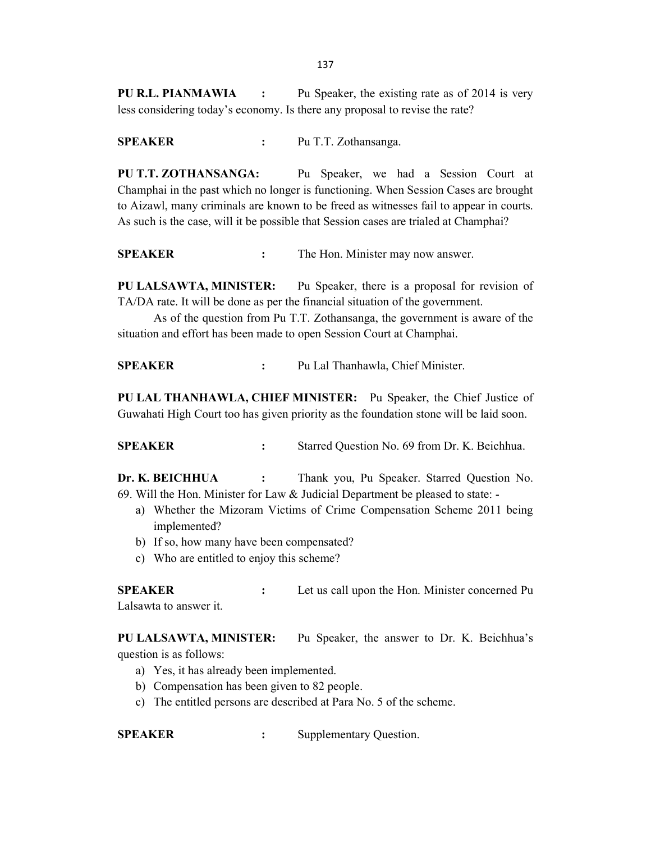137

PU R.L. PIANMAWIA : Pu Speaker, the existing rate as of 2014 is very less considering today's economy. Is there any proposal to revise the rate?

SPEAKER : Pu T.T. Zothansanga.

PU T.T. ZOTHANSANGA: Pu Speaker, we had a Session Court at Champhai in the past which no longer is functioning. When Session Cases are brought to Aizawl, many criminals are known to be freed as witnesses fail to appear in courts. As such is the case, will it be possible that Session cases are trialed at Champhai?

SPEAKER : The Hon. Minister may now answer.

PU LALSAWTA, MINISTER: Pu Speaker, there is a proposal for revision of TA/DA rate. It will be done as per the financial situation of the government.

 As of the question from Pu T.T. Zothansanga, the government is aware of the situation and effort has been made to open Session Court at Champhai.

SPEAKER : Pu Lal Thanhawla, Chief Minister.

PU LAL THANHAWLA, CHIEF MINISTER: Pu Speaker, the Chief Justice of Guwahati High Court too has given priority as the foundation stone will be laid soon.

SPEAKER : Starred Question No. 69 from Dr. K. Beichhua.

Dr. K. BEICHHUA : Thank you, Pu Speaker. Starred Question No. 69. Will the Hon. Minister for Law & Judicial Department be pleased to state: -

- a) Whether the Mizoram Victims of Crime Compensation Scheme 2011 being implemented?
- b) If so, how many have been compensated?
- c) Who are entitled to enjoy this scheme?

SPEAKER : Let us call upon the Hon. Minister concerned Pu Lalsawta to answer it.

PU LALSAWTA, MINISTER: Pu Speaker, the answer to Dr. K. Beichhua's question is as follows:

- a) Yes, it has already been implemented.
- b) Compensation has been given to 82 people.
- c) The entitled persons are described at Para No. 5 of the scheme.

SPEAKER : Supplementary Question.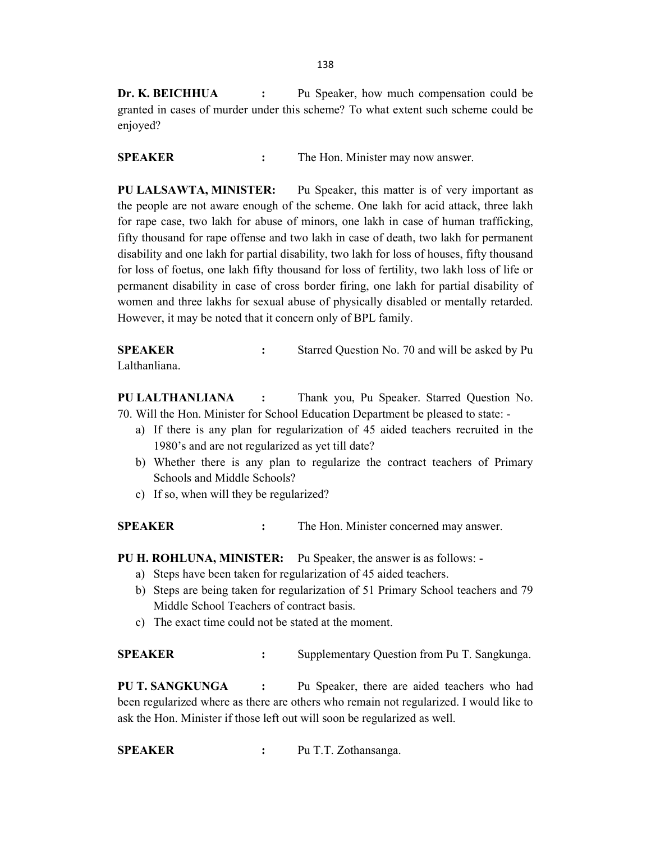Dr. K. BEICHHUA : Pu Speaker, how much compensation could be granted in cases of murder under this scheme? To what extent such scheme could be enjoyed?

SPEAKER : The Hon. Minister may now answer.

PU LALSAWTA, MINISTER: Pu Speaker, this matter is of very important as the people are not aware enough of the scheme. One lakh for acid attack, three lakh for rape case, two lakh for abuse of minors, one lakh in case of human trafficking, fifty thousand for rape offense and two lakh in case of death, two lakh for permanent disability and one lakh for partial disability, two lakh for loss of houses, fifty thousand for loss of foetus, one lakh fifty thousand for loss of fertility, two lakh loss of life or permanent disability in case of cross border firing, one lakh for partial disability of women and three lakhs for sexual abuse of physically disabled or mentally retarded. However, it may be noted that it concern only of BPL family.

SPEAKER : Starred Question No. 70 and will be asked by Pu Lalthanliana.

PU LALTHANLIANA : Thank you, Pu Speaker. Starred Question No. 70. Will the Hon. Minister for School Education Department be pleased to state: -

- a) If there is any plan for regularization of 45 aided teachers recruited in the 1980's and are not regularized as yet till date?
- b) Whether there is any plan to regularize the contract teachers of Primary Schools and Middle Schools?
- c) If so, when will they be regularized?

SPEAKER : The Hon. Minister concerned may answer.

- PU H. ROHLUNA, MINISTER: Pu Speaker, the answer is as follows:
	- a) Steps have been taken for regularization of 45 aided teachers.
	- b) Steps are being taken for regularization of 51 Primary School teachers and 79 Middle School Teachers of contract basis.
	- c) The exact time could not be stated at the moment.

SPEAKER : Supplementary Question from Pu T. Sangkunga.

PU T. SANGKUNGA : Pu Speaker, there are aided teachers who had been regularized where as there are others who remain not regularized. I would like to ask the Hon. Minister if those left out will soon be regularized as well.

SPEAKER : Pu T.T. Zothansanga.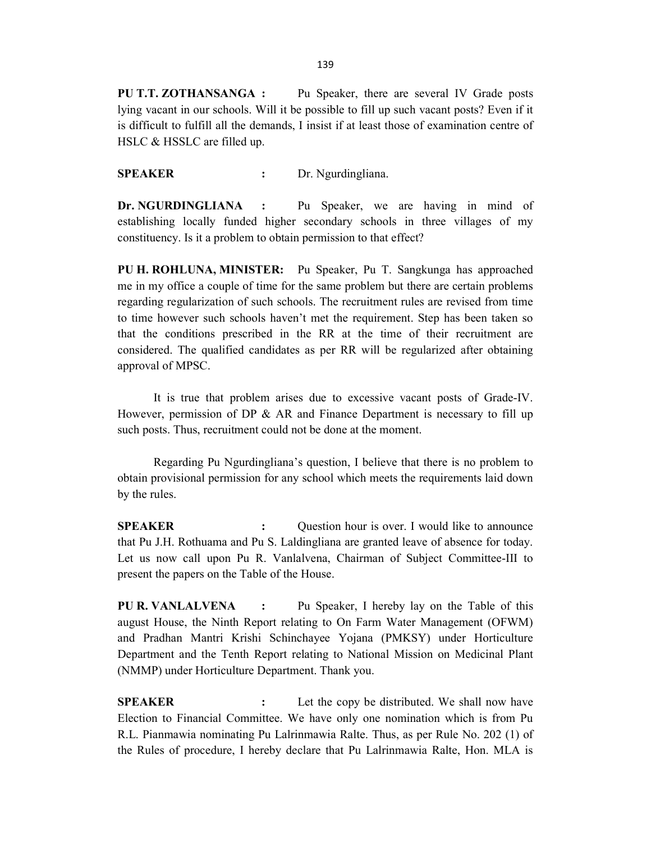PU T.T. ZOTHANSANGA : Pu Speaker, there are several IV Grade posts lying vacant in our schools. Will it be possible to fill up such vacant posts? Even if it is difficult to fulfill all the demands, I insist if at least those of examination centre of HSLC & HSSLC are filled up.

SPEAKER : Dr. Ngurdingliana.

Dr. NGURDINGLIANA : Pu Speaker, we are having in mind of establishing locally funded higher secondary schools in three villages of my constituency. Is it a problem to obtain permission to that effect?

PU H. ROHLUNA, MINISTER: Pu Speaker, Pu T. Sangkunga has approached me in my office a couple of time for the same problem but there are certain problems regarding regularization of such schools. The recruitment rules are revised from time to time however such schools haven't met the requirement. Step has been taken so that the conditions prescribed in the RR at the time of their recruitment are considered. The qualified candidates as per RR will be regularized after obtaining approval of MPSC.

 It is true that problem arises due to excessive vacant posts of Grade-IV. However, permission of DP & AR and Finance Department is necessary to fill up such posts. Thus, recruitment could not be done at the moment.

 Regarding Pu Ngurdingliana's question, I believe that there is no problem to obtain provisional permission for any school which meets the requirements laid down by the rules.

SPEAKER : Question hour is over. I would like to announce that Pu J.H. Rothuama and Pu S. Laldingliana are granted leave of absence for today. Let us now call upon Pu R. Vanlalvena, Chairman of Subject Committee-III to present the papers on the Table of the House.

PU R. VANLALVENA : Pu Speaker, I hereby lay on the Table of this august House, the Ninth Report relating to On Farm Water Management (OFWM) and Pradhan Mantri Krishi Schinchayee Yojana (PMKSY) under Horticulture Department and the Tenth Report relating to National Mission on Medicinal Plant (NMMP) under Horticulture Department. Thank you.

SPEAKER : Let the copy be distributed. We shall now have Election to Financial Committee. We have only one nomination which is from Pu R.L. Pianmawia nominating Pu Lalrinmawia Ralte. Thus, as per Rule No. 202 (1) of the Rules of procedure, I hereby declare that Pu Lalrinmawia Ralte, Hon. MLA is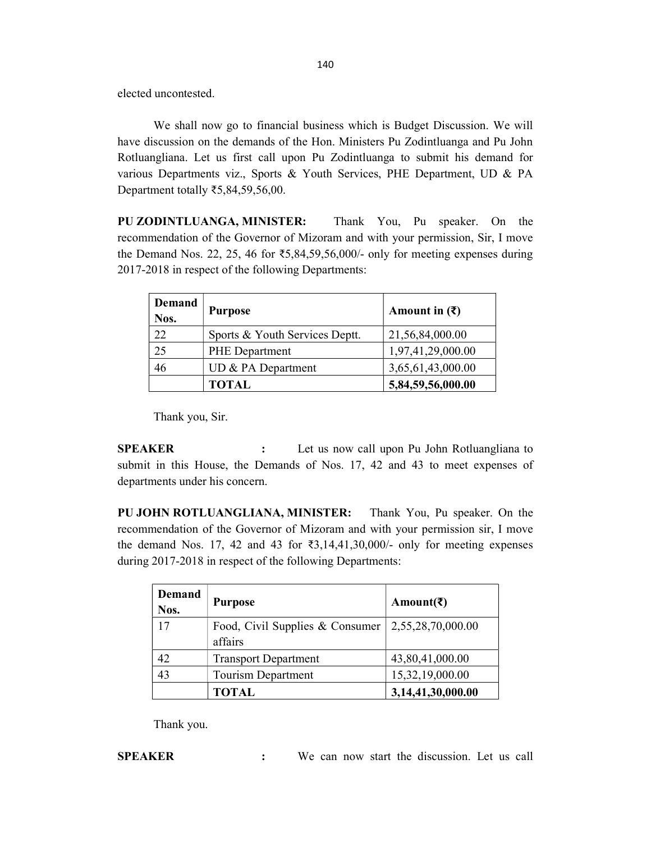elected uncontested.

 We shall now go to financial business which is Budget Discussion. We will have discussion on the demands of the Hon. Ministers Pu Zodintluanga and Pu John Rotluangliana. Let us first call upon Pu Zodintluanga to submit his demand for various Departments viz., Sports & Youth Services, PHE Department, UD & PA Department totally ₹5,84,59,56,00.

PU ZODINTLUANGA, MINISTER: Thank You, Pu speaker. On the recommendation of the Governor of Mizoram and with your permission, Sir, I move the Demand Nos. 22, 25, 46 for  $\text{\textless}5,84,59,56,000$ /- only for meeting expenses during 2017-2018 in respect of the following Departments:

| Demand<br>Nos. | <b>Purpose</b>                 | Amount in $(\bar{\mathbf{\mathsf{z}}})$ |
|----------------|--------------------------------|-----------------------------------------|
| 22             | Sports & Youth Services Deptt. | 21,56,84,000.00                         |
| 25             | <b>PHE</b> Department          | 1,97,41,29,000.00                       |
| 46             | UD & PA Department             | 3,65,61,43,000.00                       |
|                | <b>TOTAL</b>                   | 5,84,59,56,000.00                       |

Thank you, Sir.

**SPEAKER** : Let us now call upon Pu John Rotluangliana to submit in this House, the Demands of Nos. 17, 42 and 43 to meet expenses of departments under his concern.

PU JOHN ROTLUANGLIANA, MINISTER: Thank You, Pu speaker. On the recommendation of the Governor of Mizoram and with your permission sir, I move the demand Nos. 17, 42 and 43 for  $\overline{3,14,41,30,000}$  only for meeting expenses during 2017-2018 in respect of the following Departments:

| <b>Demand</b><br>Nos. | <b>Purpose</b>                  | Amount( $\bar{z}$ ) |
|-----------------------|---------------------------------|---------------------|
| 17                    | Food, Civil Supplies & Consumer | 2,55,28,70,000.00   |
|                       | affairs                         |                     |
| 42                    | <b>Transport Department</b>     | 43,80,41,000.00     |
| 43                    | <b>Tourism Department</b>       | 15,32,19,000.00     |
|                       | TOTAL                           | 3,14,41,30,000.00   |

Thank you.

SPEAKER : We can now start the discussion. Let us call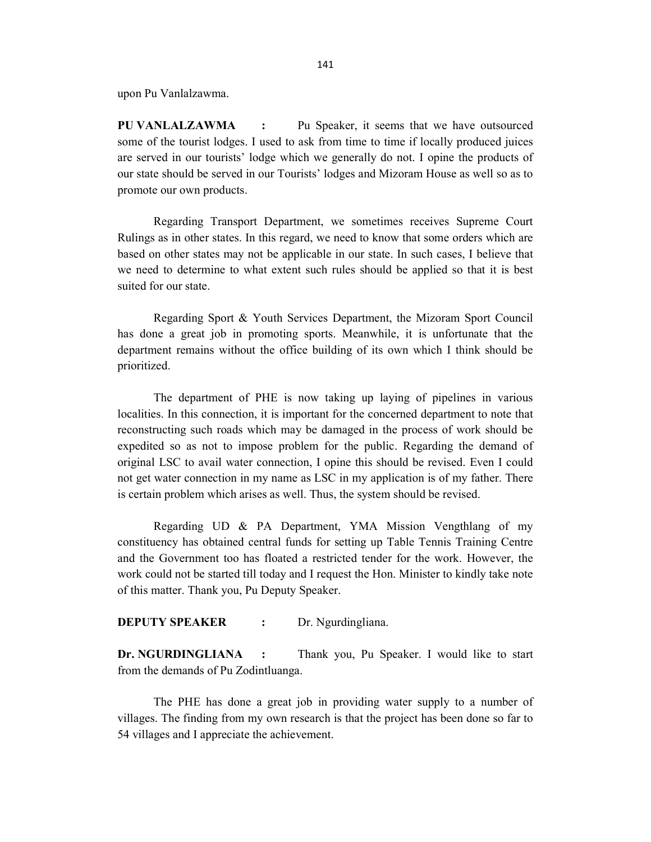upon Pu Vanlalzawma.

PU VANLALZAWMA : Pu Speaker, it seems that we have outsourced some of the tourist lodges. I used to ask from time to time if locally produced juices are served in our tourists' lodge which we generally do not. I opine the products of our state should be served in our Tourists' lodges and Mizoram House as well so as to promote our own products.

 Regarding Transport Department, we sometimes receives Supreme Court Rulings as in other states. In this regard, we need to know that some orders which are based on other states may not be applicable in our state. In such cases, I believe that we need to determine to what extent such rules should be applied so that it is best suited for our state.

 Regarding Sport & Youth Services Department, the Mizoram Sport Council has done a great job in promoting sports. Meanwhile, it is unfortunate that the department remains without the office building of its own which I think should be prioritized.

 The department of PHE is now taking up laying of pipelines in various localities. In this connection, it is important for the concerned department to note that reconstructing such roads which may be damaged in the process of work should be expedited so as not to impose problem for the public. Regarding the demand of original LSC to avail water connection, I opine this should be revised. Even I could not get water connection in my name as LSC in my application is of my father. There is certain problem which arises as well. Thus, the system should be revised.

 Regarding UD & PA Department, YMA Mission Vengthlang of my constituency has obtained central funds for setting up Table Tennis Training Centre and the Government too has floated a restricted tender for the work. However, the work could not be started till today and I request the Hon. Minister to kindly take note of this matter. Thank you, Pu Deputy Speaker.

#### **DEPUTY SPEAKER :** Dr. Ngurdingliana.

Dr. NGURDINGLIANA : Thank you, Pu Speaker. I would like to start from the demands of Pu Zodintluanga.

 The PHE has done a great job in providing water supply to a number of villages. The finding from my own research is that the project has been done so far to 54 villages and I appreciate the achievement.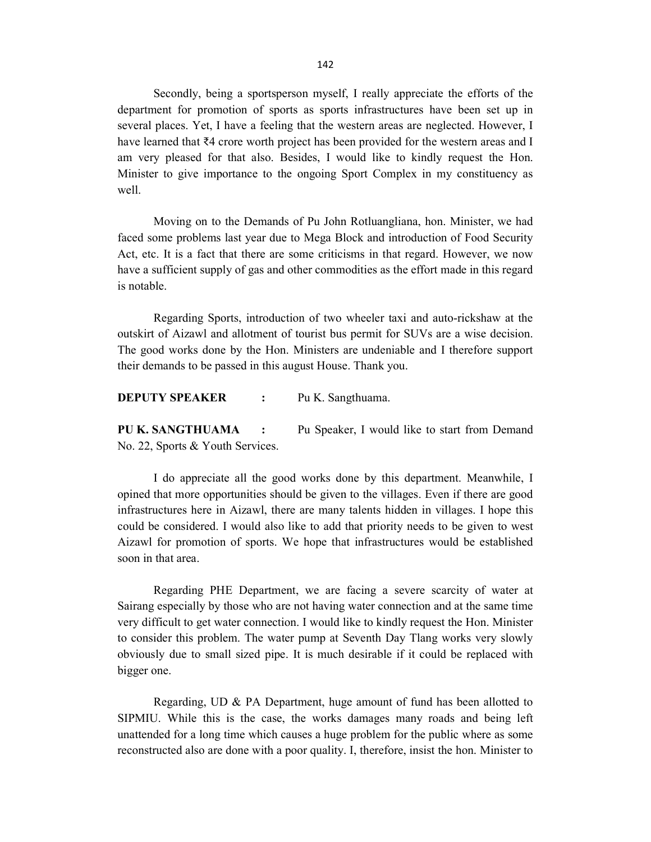Secondly, being a sportsperson myself, I really appreciate the efforts of the department for promotion of sports as sports infrastructures have been set up in several places. Yet, I have a feeling that the western areas are neglected. However, I have learned that ₹4 crore worth project has been provided for the western areas and I am very pleased for that also. Besides, I would like to kindly request the Hon. Minister to give importance to the ongoing Sport Complex in my constituency as well.

 Moving on to the Demands of Pu John Rotluangliana, hon. Minister, we had faced some problems last year due to Mega Block and introduction of Food Security Act, etc. It is a fact that there are some criticisms in that regard. However, we now have a sufficient supply of gas and other commodities as the effort made in this regard is notable.

 Regarding Sports, introduction of two wheeler taxi and auto-rickshaw at the outskirt of Aizawl and allotment of tourist bus permit for SUVs are a wise decision. The good works done by the Hon. Ministers are undeniable and I therefore support their demands to be passed in this august House. Thank you.

DEPUTY SPEAKER : Pu K. Sangthuama.

PU K. SANGTHUAMA : Pu Speaker, I would like to start from Demand No. 22, Sports & Youth Services.

 I do appreciate all the good works done by this department. Meanwhile, I opined that more opportunities should be given to the villages. Even if there are good infrastructures here in Aizawl, there are many talents hidden in villages. I hope this could be considered. I would also like to add that priority needs to be given to west Aizawl for promotion of sports. We hope that infrastructures would be established soon in that area.

 Regarding PHE Department, we are facing a severe scarcity of water at Sairang especially by those who are not having water connection and at the same time very difficult to get water connection. I would like to kindly request the Hon. Minister to consider this problem. The water pump at Seventh Day Tlang works very slowly obviously due to small sized pipe. It is much desirable if it could be replaced with bigger one.

 Regarding, UD & PA Department, huge amount of fund has been allotted to SIPMIU. While this is the case, the works damages many roads and being left unattended for a long time which causes a huge problem for the public where as some reconstructed also are done with a poor quality. I, therefore, insist the hon. Minister to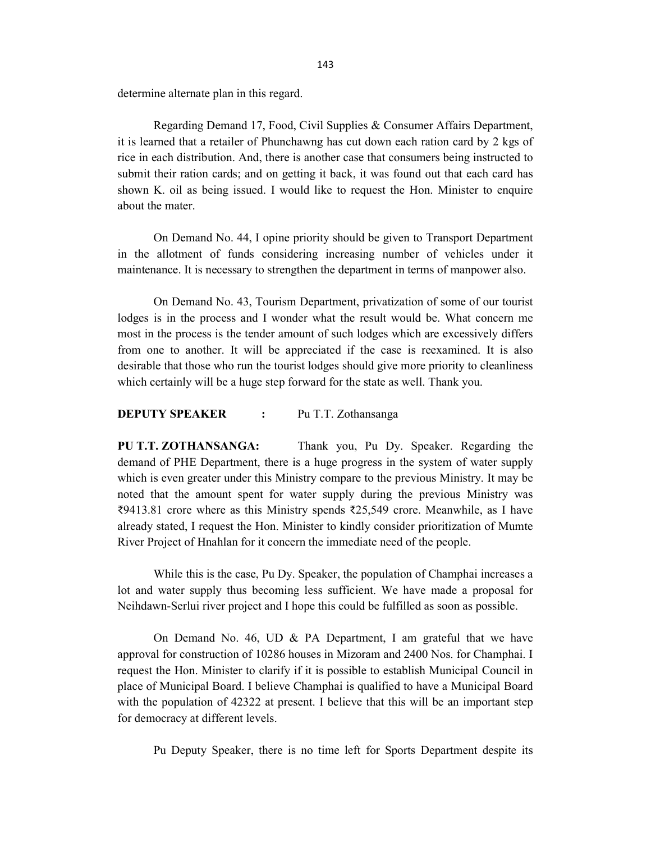determine alternate plan in this regard.

 Regarding Demand 17, Food, Civil Supplies & Consumer Affairs Department, it is learned that a retailer of Phunchawng has cut down each ration card by 2 kgs of rice in each distribution. And, there is another case that consumers being instructed to submit their ration cards; and on getting it back, it was found out that each card has shown K. oil as being issued. I would like to request the Hon. Minister to enquire about the mater.

 On Demand No. 44, I opine priority should be given to Transport Department in the allotment of funds considering increasing number of vehicles under it maintenance. It is necessary to strengthen the department in terms of manpower also.

 On Demand No. 43, Tourism Department, privatization of some of our tourist lodges is in the process and I wonder what the result would be. What concern me most in the process is the tender amount of such lodges which are excessively differs from one to another. It will be appreciated if the case is reexamined. It is also desirable that those who run the tourist lodges should give more priority to cleanliness which certainly will be a huge step forward for the state as well. Thank you.

### DEPUTY SPEAKER : Pu T.T. Zothansanga

PU T.T. ZOTHANSANGA: Thank you, Pu Dy. Speaker. Regarding the demand of PHE Department, there is a huge progress in the system of water supply which is even greater under this Ministry compare to the previous Ministry. It may be noted that the amount spent for water supply during the previous Ministry was ₹9413.81 crore where as this Ministry spends ₹25,549 crore. Meanwhile, as I have already stated, I request the Hon. Minister to kindly consider prioritization of Mumte River Project of Hnahlan for it concern the immediate need of the people.

 While this is the case, Pu Dy. Speaker, the population of Champhai increases a lot and water supply thus becoming less sufficient. We have made a proposal for Neihdawn-Serlui river project and I hope this could be fulfilled as soon as possible.

 On Demand No. 46, UD & PA Department, I am grateful that we have approval for construction of 10286 houses in Mizoram and 2400 Nos. for Champhai. I request the Hon. Minister to clarify if it is possible to establish Municipal Council in place of Municipal Board. I believe Champhai is qualified to have a Municipal Board with the population of 42322 at present. I believe that this will be an important step for democracy at different levels.

Pu Deputy Speaker, there is no time left for Sports Department despite its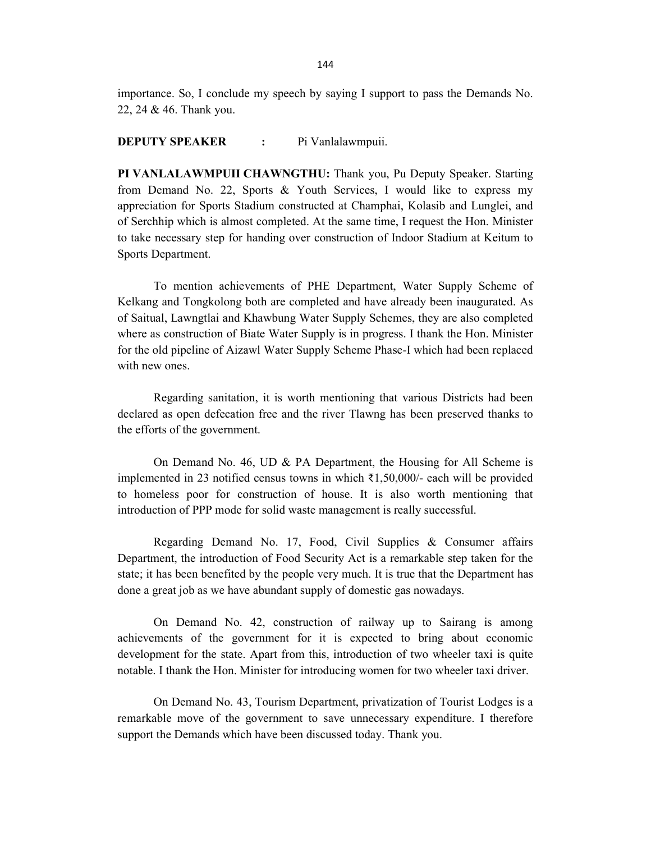importance. So, I conclude my speech by saying I support to pass the Demands No. 22, 24 & 46. Thank you.

#### DEPUTY SPEAKER : Pi Vanlalawmpuii.

PI VANLALAWMPUII CHAWNGTHU: Thank you, Pu Deputy Speaker. Starting from Demand No. 22, Sports & Youth Services, I would like to express my appreciation for Sports Stadium constructed at Champhai, Kolasib and Lunglei, and of Serchhip which is almost completed. At the same time, I request the Hon. Minister to take necessary step for handing over construction of Indoor Stadium at Keitum to Sports Department.

 To mention achievements of PHE Department, Water Supply Scheme of Kelkang and Tongkolong both are completed and have already been inaugurated. As of Saitual, Lawngtlai and Khawbung Water Supply Schemes, they are also completed where as construction of Biate Water Supply is in progress. I thank the Hon. Minister for the old pipeline of Aizawl Water Supply Scheme Phase-I which had been replaced with new ones.

 Regarding sanitation, it is worth mentioning that various Districts had been declared as open defecation free and the river Tlawng has been preserved thanks to the efforts of the government.

 On Demand No. 46, UD & PA Department, the Housing for All Scheme is implemented in 23 notified census towns in which ₹1,50,000/- each will be provided to homeless poor for construction of house. It is also worth mentioning that introduction of PPP mode for solid waste management is really successful.

 Regarding Demand No. 17, Food, Civil Supplies & Consumer affairs Department, the introduction of Food Security Act is a remarkable step taken for the state; it has been benefited by the people very much. It is true that the Department has done a great job as we have abundant supply of domestic gas nowadays.

 On Demand No. 42, construction of railway up to Sairang is among achievements of the government for it is expected to bring about economic development for the state. Apart from this, introduction of two wheeler taxi is quite notable. I thank the Hon. Minister for introducing women for two wheeler taxi driver.

 On Demand No. 43, Tourism Department, privatization of Tourist Lodges is a remarkable move of the government to save unnecessary expenditure. I therefore support the Demands which have been discussed today. Thank you.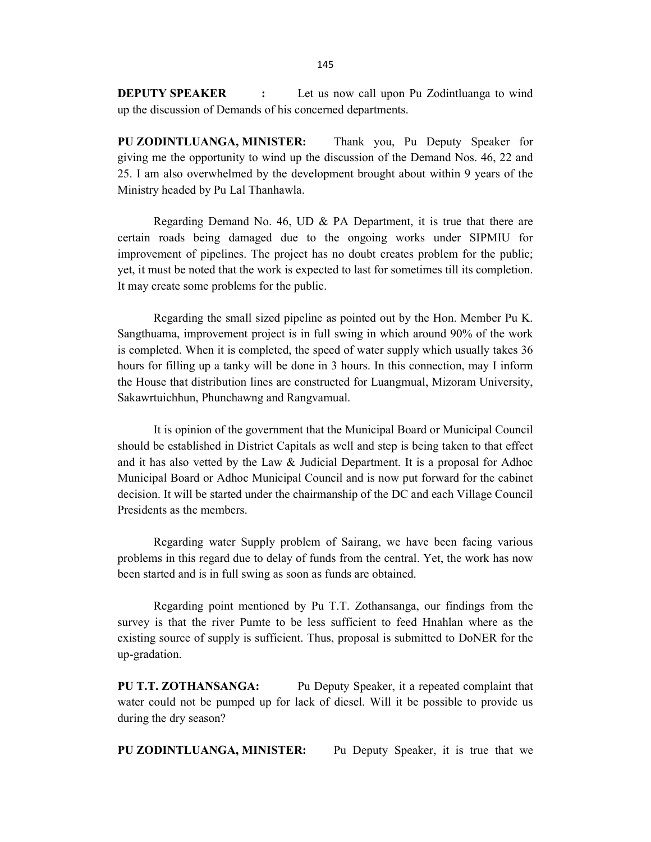**DEPUTY SPEAKER** : Let us now call upon Pu Zodintluanga to wind up the discussion of Demands of his concerned departments.

PU ZODINTLUANGA, MINISTER: Thank you, Pu Deputy Speaker for giving me the opportunity to wind up the discussion of the Demand Nos. 46, 22 and 25. I am also overwhelmed by the development brought about within 9 years of the Ministry headed by Pu Lal Thanhawla.

 Regarding Demand No. 46, UD & PA Department, it is true that there are certain roads being damaged due to the ongoing works under SIPMIU for improvement of pipelines. The project has no doubt creates problem for the public; yet, it must be noted that the work is expected to last for sometimes till its completion. It may create some problems for the public.

 Regarding the small sized pipeline as pointed out by the Hon. Member Pu K. Sangthuama, improvement project is in full swing in which around 90% of the work is completed. When it is completed, the speed of water supply which usually takes 36 hours for filling up a tanky will be done in 3 hours. In this connection, may I inform the House that distribution lines are constructed for Luangmual, Mizoram University, Sakawrtuichhun, Phunchawng and Rangvamual.

 It is opinion of the government that the Municipal Board or Municipal Council should be established in District Capitals as well and step is being taken to that effect and it has also vetted by the Law & Judicial Department. It is a proposal for Adhoc Municipal Board or Adhoc Municipal Council and is now put forward for the cabinet decision. It will be started under the chairmanship of the DC and each Village Council Presidents as the members.

 Regarding water Supply problem of Sairang, we have been facing various problems in this regard due to delay of funds from the central. Yet, the work has now been started and is in full swing as soon as funds are obtained.

 Regarding point mentioned by Pu T.T. Zothansanga, our findings from the survey is that the river Pumte to be less sufficient to feed Hnahlan where as the existing source of supply is sufficient. Thus, proposal is submitted to DoNER for the up-gradation.

PU T.T. ZOTHANSANGA: Pu Deputy Speaker, it a repeated complaint that water could not be pumped up for lack of diesel. Will it be possible to provide us during the dry season?

PU ZODINTLUANGA, MINISTER: Pu Deputy Speaker, it is true that we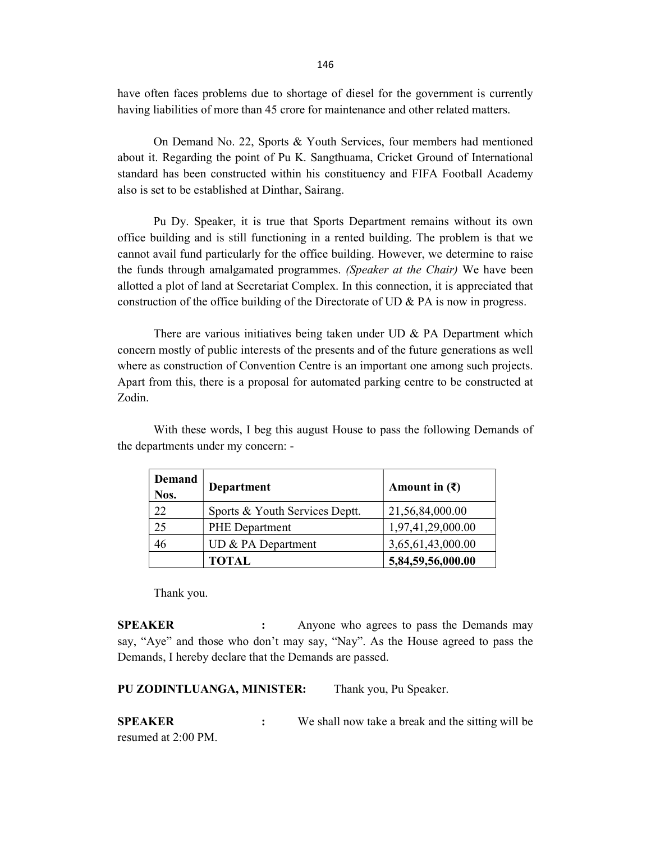have often faces problems due to shortage of diesel for the government is currently having liabilities of more than 45 crore for maintenance and other related matters.

 On Demand No. 22, Sports & Youth Services, four members had mentioned about it. Regarding the point of Pu K. Sangthuama, Cricket Ground of International standard has been constructed within his constituency and FIFA Football Academy also is set to be established at Dinthar, Sairang.

 Pu Dy. Speaker, it is true that Sports Department remains without its own office building and is still functioning in a rented building. The problem is that we cannot avail fund particularly for the office building. However, we determine to raise the funds through amalgamated programmes. (Speaker at the Chair) We have been allotted a plot of land at Secretariat Complex. In this connection, it is appreciated that construction of the office building of the Directorate of UD & PA is now in progress.

 There are various initiatives being taken under UD & PA Department which concern mostly of public interests of the presents and of the future generations as well where as construction of Convention Centre is an important one among such projects. Apart from this, there is a proposal for automated parking centre to be constructed at Zodin.

 With these words, I beg this august House to pass the following Demands of the departments under my concern: -

| <b>Demand</b><br>Nos. | Department                     | Amount in $(\bar{\mathbf{\mathsf{z}}})$ |
|-----------------------|--------------------------------|-----------------------------------------|
| 22                    | Sports & Youth Services Deptt. | 21,56,84,000.00                         |
| 25                    | <b>PHE</b> Department          | 1,97,41,29,000.00                       |
| 46                    | UD & PA Department             | 3,65,61,43,000.00                       |
|                       | <b>TOTAL</b>                   | 5,84,59,56,000.00                       |

Thank you.

**SPEAKER** : Anyone who agrees to pass the Demands may say, "Aye" and those who don't may say, "Nay". As the House agreed to pass the Demands, I hereby declare that the Demands are passed.

PU ZODINTLUANGA, MINISTER: Thank you, Pu Speaker.

**SPEAKER** : We shall now take a break and the sitting will be resumed at 2:00 PM.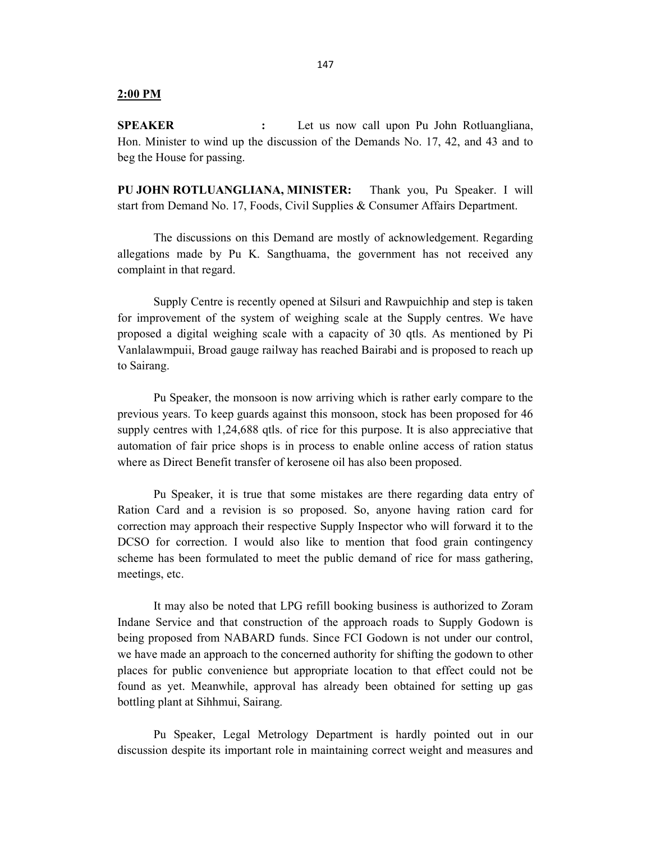#### 2:00 PM

SPEAKER : Let us now call upon Pu John Rotluangliana, Hon. Minister to wind up the discussion of the Demands No. 17, 42, and 43 and to beg the House for passing.

PU JOHN ROTLUANGLIANA, MINISTER: Thank you, Pu Speaker. I will start from Demand No. 17, Foods, Civil Supplies & Consumer Affairs Department.

 The discussions on this Demand are mostly of acknowledgement. Regarding allegations made by Pu K. Sangthuama, the government has not received any complaint in that regard.

 Supply Centre is recently opened at Silsuri and Rawpuichhip and step is taken for improvement of the system of weighing scale at the Supply centres. We have proposed a digital weighing scale with a capacity of 30 qtls. As mentioned by Pi Vanlalawmpuii, Broad gauge railway has reached Bairabi and is proposed to reach up to Sairang.

 Pu Speaker, the monsoon is now arriving which is rather early compare to the previous years. To keep guards against this monsoon, stock has been proposed for 46 supply centres with 1,24,688 qtls. of rice for this purpose. It is also appreciative that automation of fair price shops is in process to enable online access of ration status where as Direct Benefit transfer of kerosene oil has also been proposed.

 Pu Speaker, it is true that some mistakes are there regarding data entry of Ration Card and a revision is so proposed. So, anyone having ration card for correction may approach their respective Supply Inspector who will forward it to the DCSO for correction. I would also like to mention that food grain contingency scheme has been formulated to meet the public demand of rice for mass gathering, meetings, etc.

 It may also be noted that LPG refill booking business is authorized to Zoram Indane Service and that construction of the approach roads to Supply Godown is being proposed from NABARD funds. Since FCI Godown is not under our control, we have made an approach to the concerned authority for shifting the godown to other places for public convenience but appropriate location to that effect could not be found as yet. Meanwhile, approval has already been obtained for setting up gas bottling plant at Sihhmui, Sairang.

 Pu Speaker, Legal Metrology Department is hardly pointed out in our discussion despite its important role in maintaining correct weight and measures and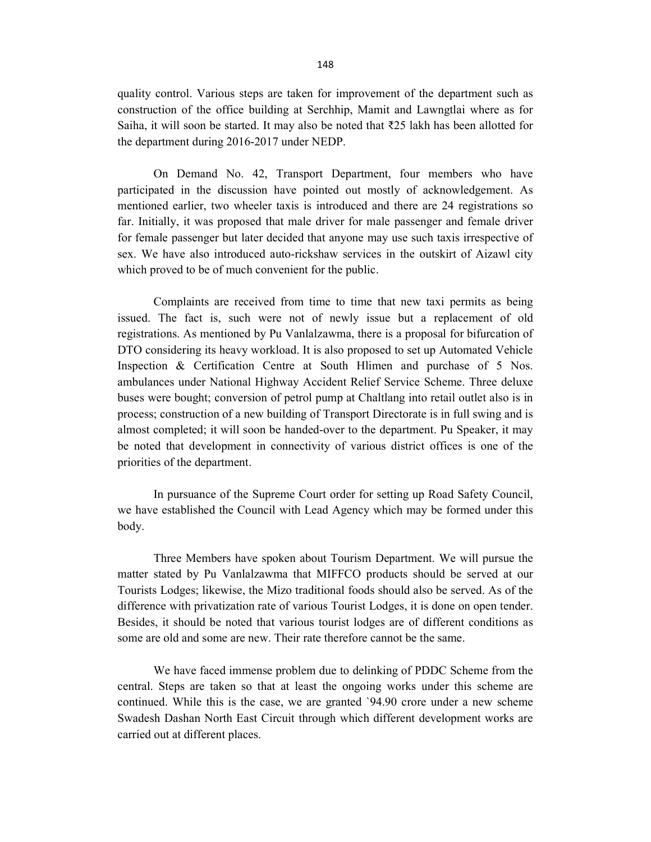quality control. Various steps are taken for improvement of the department such as construction of the office building at Serchhip, Mamit and Lawngtlai where as for Saiha, it will soon be started. It may also be noted that  $\overline{225}$  lakh has been allotted for the department during 2016-2017 under NEDP.

 On Demand No. 42, Transport Department, four members who have participated in the discussion have pointed out mostly of acknowledgement. As mentioned earlier, two wheeler taxis is introduced and there are 24 registrations so far. Initially, it was proposed that male driver for male passenger and female driver for female passenger but later decided that anyone may use such taxis irrespective of sex. We have also introduced auto-rickshaw services in the outskirt of Aizawl city which proved to be of much convenient for the public.

 Complaints are received from time to time that new taxi permits as being issued. The fact is, such were not of newly issue but a replacement of old registrations. As mentioned by Pu Vanlalzawma, there is a proposal for bifurcation of DTO considering its heavy workload. It is also proposed to set up Automated Vehicle Inspection & Certification Centre at South Hlimen and purchase of 5 Nos. ambulances under National Highway Accident Relief Service Scheme. Three deluxe buses were bought; conversion of petrol pump at Chaltlang into retail outlet also is in process; construction of a new building of Transport Directorate is in full swing and is almost completed; it will soon be handed-over to the department. Pu Speaker, it may be noted that development in connectivity of various district offices is one of the priorities of the department.

 In pursuance of the Supreme Court order for setting up Road Safety Council, we have established the Council with Lead Agency which may be formed under this body.

 Three Members have spoken about Tourism Department. We will pursue the matter stated by Pu Vanlalzawma that MIFFCO products should be served at our Tourists Lodges; likewise, the Mizo traditional foods should also be served. As of the difference with privatization rate of various Tourist Lodges, it is done on open tender. Besides, it should be noted that various tourist lodges are of different conditions as some are old and some are new. Their rate therefore cannot be the same.

 We have faced immense problem due to delinking of PDDC Scheme from the central. Steps are taken so that at least the ongoing works under this scheme are continued. While this is the case, we are granted `94.90 crore under a new scheme Swadesh Dashan North East Circuit through which different development works are carried out at different places.